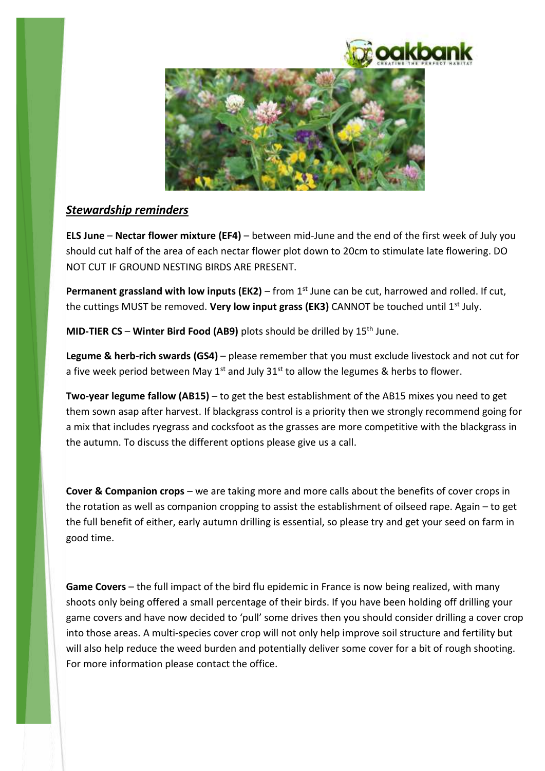



# *Stewardship reminders*

**ELS June** – **Nectar flower mixture (EF4)** – between mid-June and the end of the first week of July you should cut half of the area of each nectar flower plot down to 20cm to stimulate late flowering. DO NOT CUT IF GROUND NESTING BIRDS ARE PRESENT.

**Permanent grassland with low inputs (EK2)** – from 1<sup>st</sup> June can be cut, harrowed and rolled. If cut, the cuttings MUST be removed. Very low input grass (EK3) CANNOT be touched until 1<sup>st</sup> July.

**MID-TIER CS** – **Winter Bird Food (AB9)** plots should be drilled by 15th June.

**Legume & herb-rich swards (GS4)** – please remember that you must exclude livestock and not cut for a five week period between May  $1<sup>st</sup>$  and July 31 $<sup>st</sup>$  to allow the legumes & herbs to flower.</sup>

**Two-year legume fallow (AB15)** – to get the best establishment of the AB15 mixes you need to get them sown asap after harvest. If blackgrass control is a priority then we strongly recommend going for a mix that includes ryegrass and cocksfoot as the grasses are more competitive with the blackgrass in the autumn. To discuss the different options please give us a call.

**Cover & Companion crops** – we are taking more and more calls about the benefits of cover crops in the rotation as well as companion cropping to assist the establishment of oilseed rape. Again – to get the full benefit of either, early autumn drilling is essential, so please try and get your seed on farm in good time.

**Game Covers** – the full impact of the bird flu epidemic in France is now being realized, with many shoots only being offered a small percentage of their birds. If you have been holding off drilling your game covers and have now decided to 'pull' some drives then you should consider drilling a cover crop into those areas. A multi-species cover crop will not only help improve soil structure and fertility but will also help reduce the weed burden and potentially deliver some cover for a bit of rough shooting. For more information please contact the office.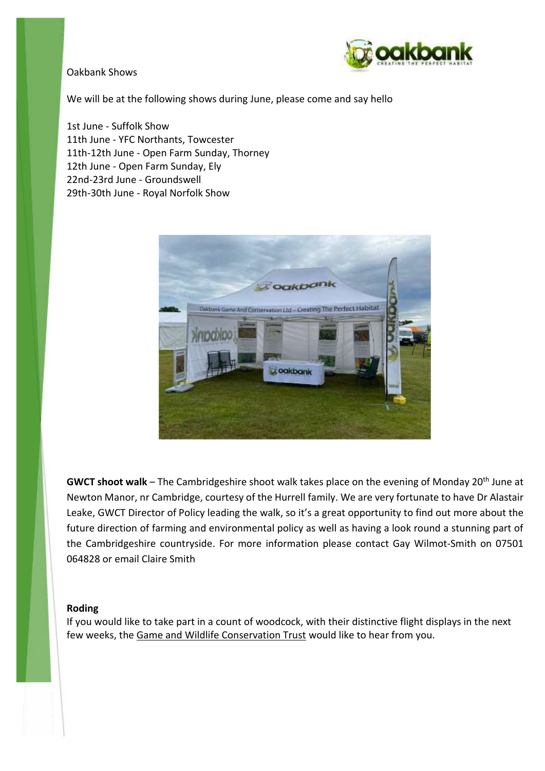#### Oakbank Shows



We will be at the following shows during June, please come and say hello

1st June - Suffolk Show 11th June - YFC Northants, Towcester 11th-12th June - Open Farm Sunday, Thorney 12th June - Open Farm Sunday, Ely 22nd-23rd June - Groundswell 29th-30th June - Royal Norfolk Show



**GWCT shoot walk** – The Cambridgeshire shoot walk takes place on the evening of Monday 20th June at Newton Manor, nr Cambridge, courtesy of the Hurrell family. We are very fortunate to have Dr Alastair Leake, GWCT Director of Policy leading the walk, so it's a great opportunity to find out more about the future direction of farming and environmental policy as well as having a look round a stunning part of the Cambridgeshire countryside. For more information please contact Gay Wilmot-Smith on 07501 064828 or email Claire Smith

#### **Roding**

If you would like to take part in a count of woodcock, with their distinctive flight displays in the next few weeks, the [Game and Wildlife Conservation Trust](http://clickeu.swiftpage.marketing/s/055-bd9c2818-7f0e-4a5b-a250-ba87e41815ea?enr=naahiaduabyaa4yahiac6abpabzaazqaomac4advabzqanyafyagyadjabzqa5aafuag2adbabxaayiam4agkaboabrqa3yanuac6aduabzaayiammagwabpabrqa3aaneaggadlaa7qa5iahuadaadbabrqayyamuagkabwabraamiagyagkabtaa4aaoiagmagcabsaa2aanaamqadaabxaazqanaammacmadjabsaapiaheadgabuaa3qamqamuadmabsabrqanqaeyagkab5aayqamiagqadsadeaazaazaamyageabqab6aayyanaagcadsabwaa3yaoqahiadfabaaa3yameagwadcabqqa3qanmagoaddaaxaayyan4ac4advabvqa7aageahyabwaa4aamaaheadmabzabtaayyafuagcabwabsaamiafuadiadbaa2aanqafuadsabvaazqamyafuadeabvaa3aamaahaadeabzaayaaziagaadiadbab6aamaaguadeabnaa2aamaagmadmabwabtaazqagqac2abwaayqaniameac2abuabsqaniagqac2abyaa3aaoaaguac2adcabrqaniaguagkabraazaaoiagmageabuabsaa7aagaadkabzaawqanqamqadqabuaazaamyagyagkabnabraaniageadcabnaa2aamyageadkabnabqqaoaamiadmabnabsaanyageadcadeaazqamqameaggabvaa2qanyapqadaabqaayqaliaheaggabtaa2qamaageadmadbaawqayiaguagiadgaawqanaamiadiadeaawqaoaamyadeabraawqamiahaadmabqaa2qayqag4adgabxaazaamyamqahyadgaa3aanaagiadkabuabsaaoiafuagiadeaazaaoiafuadiadbabsqazaafuadqadfabsaanaafuadoabtabrqayiagiadgabuabtaamiameadaadfab6aaqiapqaa====) would like to hear from you.